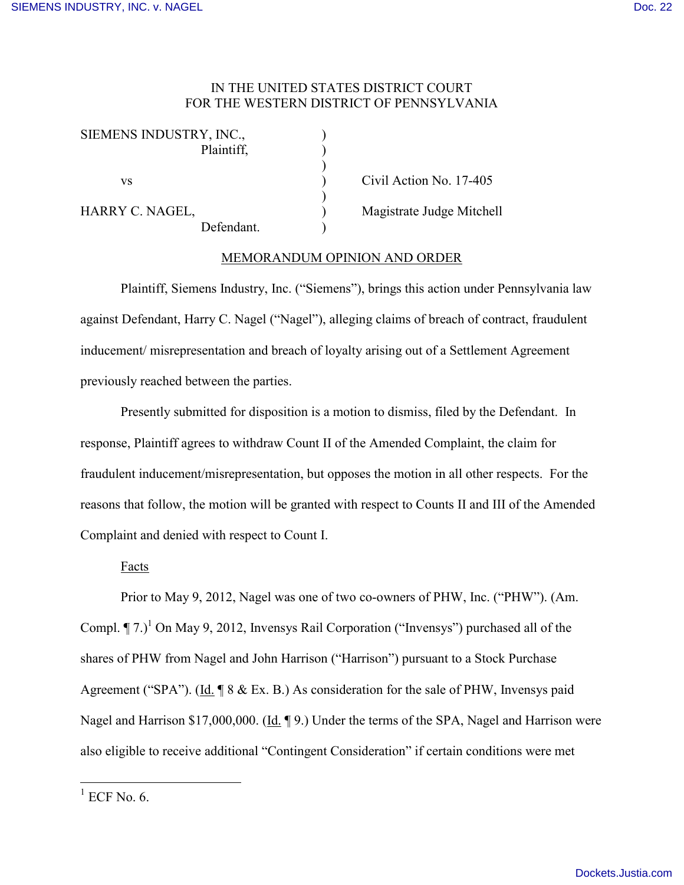# IN THE UNITED STATES DISTRICT COURT FOR THE WESTERN DISTRICT OF PENNSYLVANIA

| SIEMENS INDUSTRY, INC., |            |  |
|-------------------------|------------|--|
|                         | Plaintiff, |  |
|                         |            |  |
| VS                      |            |  |
|                         |            |  |
| HARRY C. NAGEL,         |            |  |
|                         | Defendant. |  |

Civil Action No. 17-405 Magistrate Judge Mitchell

### MEMORANDUM OPINION AND ORDER

Plaintiff, Siemens Industry, Inc. ("Siemens"), brings this action under Pennsylvania law against Defendant, Harry C. Nagel ("Nagel"), alleging claims of breach of contract, fraudulent inducement/ misrepresentation and breach of loyalty arising out of a Settlement Agreement previously reached between the parties.

Presently submitted for disposition is a motion to dismiss, filed by the Defendant. In response, Plaintiff agrees to withdraw Count II of the Amended Complaint, the claim for fraudulent inducement/misrepresentation, but opposes the motion in all other respects. For the reasons that follow, the motion will be granted with respect to Counts II and III of the Amended Complaint and denied with respect to Count I.

Facts

Prior to May 9, 2012, Nagel was one of two co-owners of PHW, Inc. ("PHW"). (Am. Compl.  $\P$  7.)<sup>1</sup> On May 9, 2012, Invensys Rail Corporation ("Invensys") purchased all of the shares of PHW from Nagel and John Harrison ("Harrison") pursuant to a Stock Purchase Agreement ("SPA"). (Id. ¶ 8 & Ex. B.) As consideration for the sale of PHW, Invensys paid Nagel and Harrison \$17,000,000. (Id. 19.) Under the terms of the SPA, Nagel and Harrison were also eligible to receive additional "Contingent Consideration" if certain conditions were met

 $\overline{a}$ 

 $<sup>1</sup>$  ECF No. 6.</sup>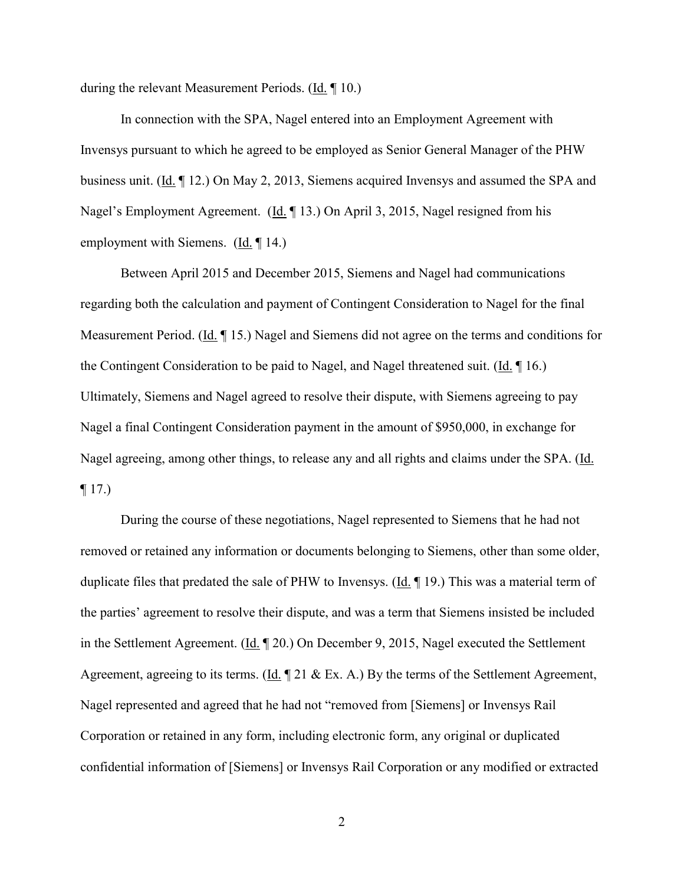during the relevant Measurement Periods. (Id. ¶ 10.)

In connection with the SPA, Nagel entered into an Employment Agreement with Invensys pursuant to which he agreed to be employed as Senior General Manager of the PHW business unit. (Id. ¶ 12.) On May 2, 2013, Siemens acquired Invensys and assumed the SPA and Nagel's Employment Agreement. (Id. ¶ 13.) On April 3, 2015, Nagel resigned from his employment with Siemens. (Id. ¶ 14.)

Between April 2015 and December 2015, Siemens and Nagel had communications regarding both the calculation and payment of Contingent Consideration to Nagel for the final Measurement Period. (Id. ¶ 15.) Nagel and Siemens did not agree on the terms and conditions for the Contingent Consideration to be paid to Nagel, and Nagel threatened suit. (Id. ¶ 16.) Ultimately, Siemens and Nagel agreed to resolve their dispute, with Siemens agreeing to pay Nagel a final Contingent Consideration payment in the amount of \$950,000, in exchange for Nagel agreeing, among other things, to release any and all rights and claims under the SPA. (Id.  $\P$  17.)

During the course of these negotiations, Nagel represented to Siemens that he had not removed or retained any information or documents belonging to Siemens, other than some older, duplicate files that predated the sale of PHW to Invensys. (Id. ¶ 19.) This was a material term of the parties' agreement to resolve their dispute, and was a term that Siemens insisted be included in the Settlement Agreement. (Id. ¶ 20.) On December 9, 2015, Nagel executed the Settlement Agreement, agreeing to its terms. (Id. 121 & Ex. A.) By the terms of the Settlement Agreement, Nagel represented and agreed that he had not "removed from [Siemens] or Invensys Rail Corporation or retained in any form, including electronic form, any original or duplicated confidential information of [Siemens] or Invensys Rail Corporation or any modified or extracted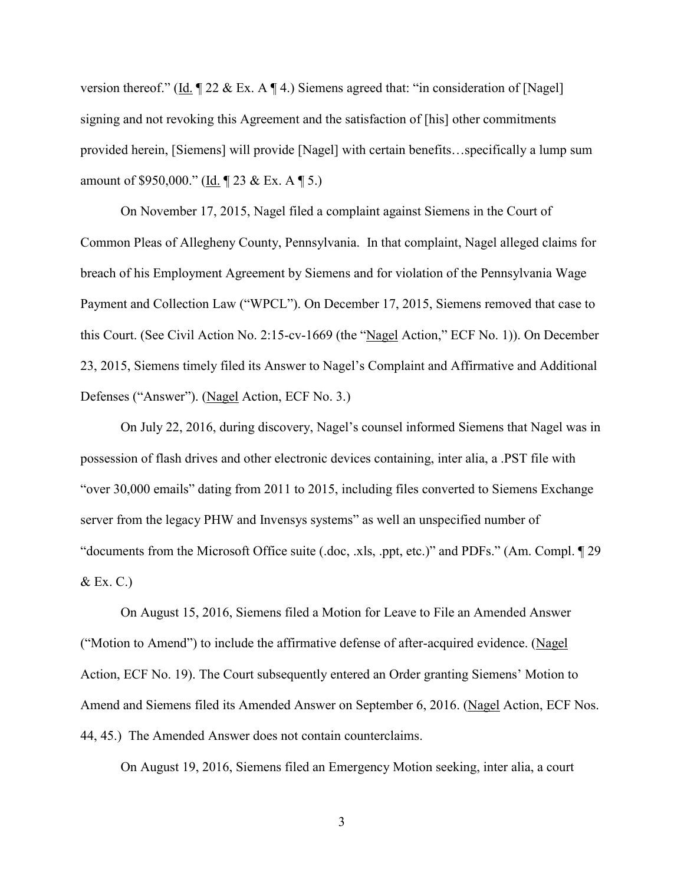version thereof." (Id.  $\P$  22 & Ex. A  $\P$  4.) Siemens agreed that: "in consideration of [Nagel] signing and not revoking this Agreement and the satisfaction of [his] other commitments provided herein, [Siemens] will provide [Nagel] with certain benefits…specifically a lump sum amount of \$950,000." (Id. ¶ 23 & Ex. A ¶ 5.)

On November 17, 2015, Nagel filed a complaint against Siemens in the Court of Common Pleas of Allegheny County, Pennsylvania. In that complaint, Nagel alleged claims for breach of his Employment Agreement by Siemens and for violation of the Pennsylvania Wage Payment and Collection Law ("WPCL"). On December 17, 2015, Siemens removed that case to this Court. (See Civil Action No. 2:15-cv-1669 (the "Nagel Action," ECF No. 1)). On December 23, 2015, Siemens timely filed its Answer to Nagel's Complaint and Affirmative and Additional Defenses ("Answer"). (Nagel Action, ECF No. 3.)

On July 22, 2016, during discovery, Nagel's counsel informed Siemens that Nagel was in possession of flash drives and other electronic devices containing, inter alia, a .PST file with "over 30,000 emails" dating from 2011 to 2015, including files converted to Siemens Exchange server from the legacy PHW and Invensys systems" as well an unspecified number of "documents from the Microsoft Office suite (.doc, .xls, .ppt, etc.)" and PDFs." (Am. Compl. ¶ 29  $&\&\to$ . C.

On August 15, 2016, Siemens filed a Motion for Leave to File an Amended Answer ("Motion to Amend") to include the affirmative defense of after-acquired evidence. (Nagel Action, ECF No. 19). The Court subsequently entered an Order granting Siemens' Motion to Amend and Siemens filed its Amended Answer on September 6, 2016. (Nagel Action, ECF Nos. 44, 45.) The Amended Answer does not contain counterclaims.

On August 19, 2016, Siemens filed an Emergency Motion seeking, inter alia, a court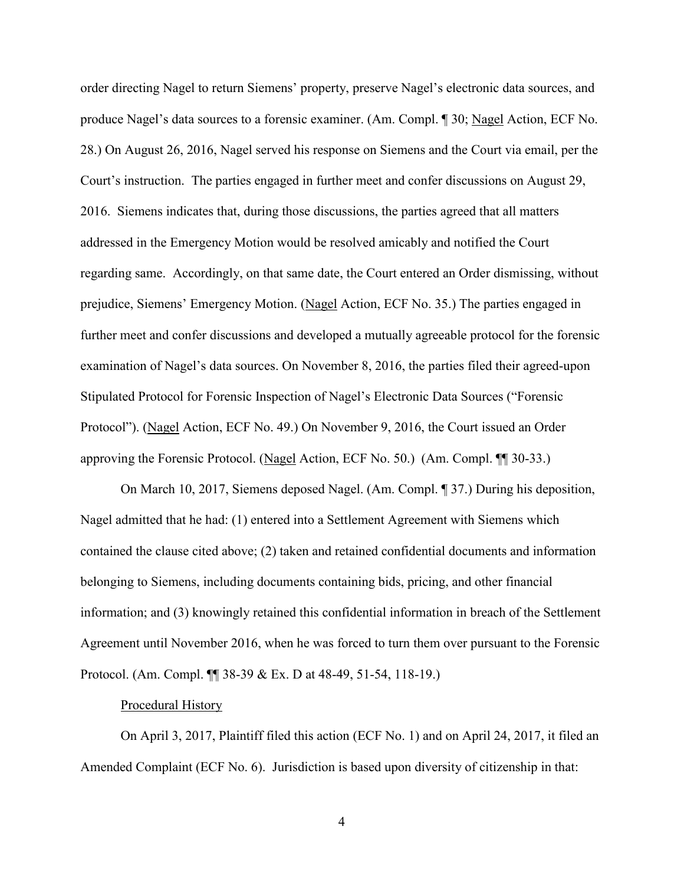order directing Nagel to return Siemens' property, preserve Nagel's electronic data sources, and produce Nagel's data sources to a forensic examiner. (Am. Compl. ¶ 30; Nagel Action, ECF No. 28.) On August 26, 2016, Nagel served his response on Siemens and the Court via email, per the Court's instruction. The parties engaged in further meet and confer discussions on August 29, 2016. Siemens indicates that, during those discussions, the parties agreed that all matters addressed in the Emergency Motion would be resolved amicably and notified the Court regarding same. Accordingly, on that same date, the Court entered an Order dismissing, without prejudice, Siemens' Emergency Motion. (Nagel Action, ECF No. 35.) The parties engaged in further meet and confer discussions and developed a mutually agreeable protocol for the forensic examination of Nagel's data sources. On November 8, 2016, the parties filed their agreed-upon Stipulated Protocol for Forensic Inspection of Nagel's Electronic Data Sources ("Forensic Protocol"). (Nagel Action, ECF No. 49.) On November 9, 2016, the Court issued an Order approving the Forensic Protocol. (Nagel Action, ECF No. 50.) (Am. Compl. ¶¶ 30-33.)

On March 10, 2017, Siemens deposed Nagel. (Am. Compl. ¶ 37.) During his deposition, Nagel admitted that he had: (1) entered into a Settlement Agreement with Siemens which contained the clause cited above; (2) taken and retained confidential documents and information belonging to Siemens, including documents containing bids, pricing, and other financial information; and (3) knowingly retained this confidential information in breach of the Settlement Agreement until November 2016, when he was forced to turn them over pursuant to the Forensic Protocol. (Am. Compl. ¶¶ 38-39 & Ex. D at 48-49, 51-54, 118-19.)

#### Procedural History

On April 3, 2017, Plaintiff filed this action (ECF No. 1) and on April 24, 2017, it filed an Amended Complaint (ECF No. 6). Jurisdiction is based upon diversity of citizenship in that: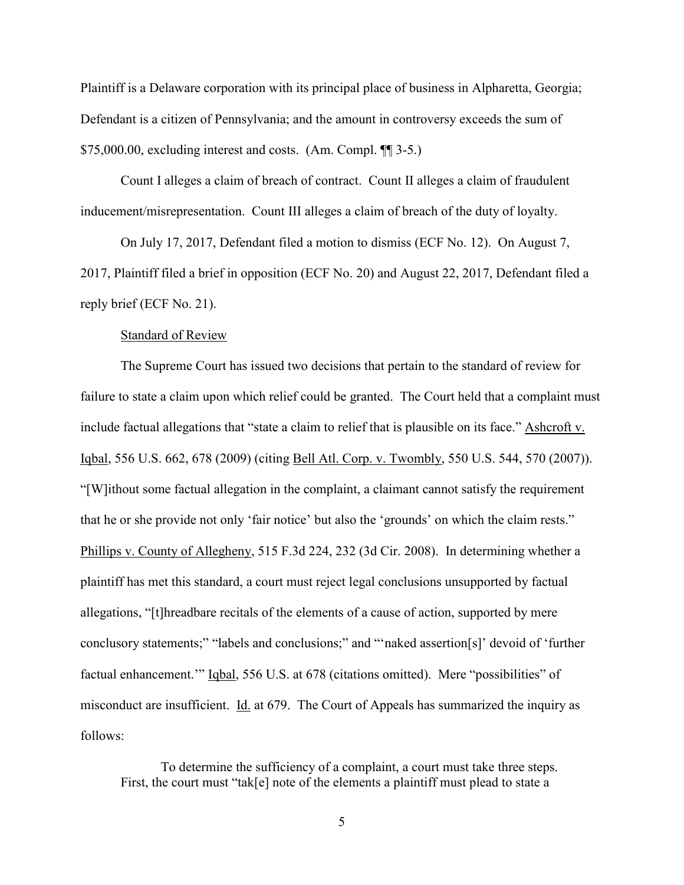Plaintiff is a Delaware corporation with its principal place of business in Alpharetta, Georgia; Defendant is a citizen of Pennsylvania; and the amount in controversy exceeds the sum of  $$75,000.00$ , excluding interest and costs. (Am. Compl.  $\P$ ] 3-5.)

Count I alleges a claim of breach of contract. Count II alleges a claim of fraudulent inducement/misrepresentation. Count III alleges a claim of breach of the duty of loyalty.

On July 17, 2017, Defendant filed a motion to dismiss (ECF No. 12). On August 7, 2017, Plaintiff filed a brief in opposition (ECF No. 20) and August 22, 2017, Defendant filed a reply brief (ECF No. 21).

#### Standard of Review

The Supreme Court has issued two decisions that pertain to the standard of review for failure to state a claim upon which relief could be granted. The Court held that a complaint must include factual allegations that "state a claim to relief that is plausible on its face." Ashcroft v. Iqbal, 556 U.S. 662, 678 (2009) (citing Bell Atl. Corp. v. Twombly, 550 U.S. 544, 570 (2007)). "[W]ithout some factual allegation in the complaint, a claimant cannot satisfy the requirement that he or she provide not only 'fair notice' but also the 'grounds' on which the claim rests." Phillips v. County of Allegheny, 515 F.3d 224, 232 (3d Cir. 2008). In determining whether a plaintiff has met this standard, a court must reject legal conclusions unsupported by factual allegations, "[t]hreadbare recitals of the elements of a cause of action, supported by mere conclusory statements;" "labels and conclusions;" and "'naked assertion[s]' devoid of 'further factual enhancement.'" Iqbal, 556 U.S. at 678 (citations omitted). Mere "possibilities" of misconduct are insufficient. Id. at 679. The Court of Appeals has summarized the inquiry as follows:

To determine the sufficiency of a complaint, a court must take three steps. First, the court must "tak[e] note of the elements a plaintiff must plead to state a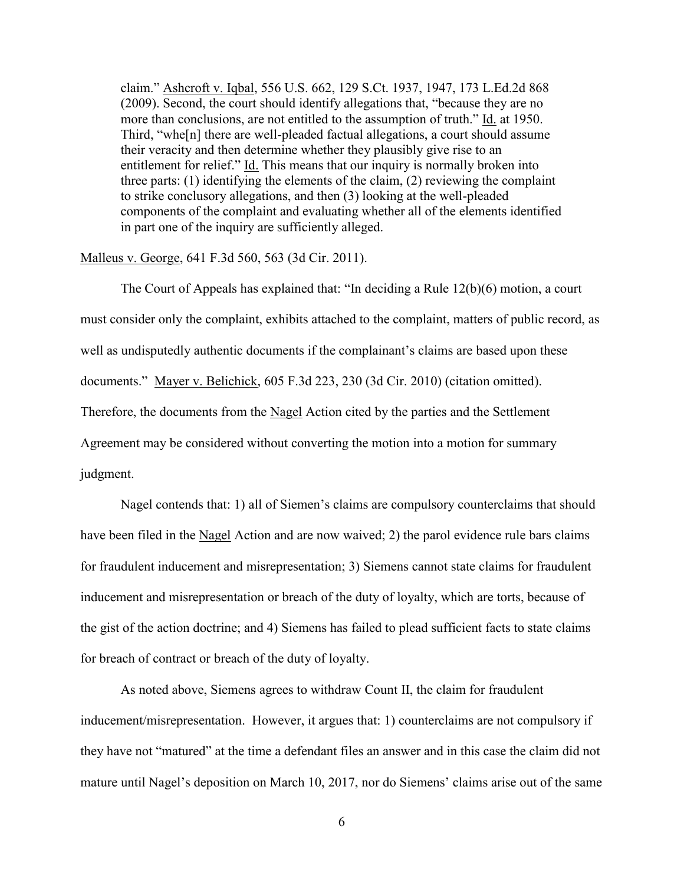claim." Ashcroft v. Iqbal, 556 U.S. 662, 129 S.Ct. 1937, 1947, 173 L.Ed.2d 868 (2009). Second, the court should identify allegations that, "because they are no more than conclusions, are not entitled to the assumption of truth." Id. at 1950. Third, "whe[n] there are well-pleaded factual allegations, a court should assume their veracity and then determine whether they plausibly give rise to an entitlement for relief." Id. This means that our inquiry is normally broken into three parts: (1) identifying the elements of the claim, (2) reviewing the complaint to strike conclusory allegations, and then (3) looking at the well-pleaded components of the complaint and evaluating whether all of the elements identified in part one of the inquiry are sufficiently alleged.

### Malleus v. George, 641 F.3d 560, 563 (3d Cir. 2011).

The Court of Appeals has explained that: "In deciding a Rule 12(b)(6) motion, a court must consider only the complaint, exhibits attached to the complaint, matters of public record, as well as undisputedly authentic documents if the complainant's claims are based upon these documents." Mayer v. Belichick, 605 F.3d 223, 230 (3d Cir. 2010) (citation omitted). Therefore, the documents from the Nagel Action cited by the parties and the Settlement Agreement may be considered without converting the motion into a motion for summary judgment.

Nagel contends that: 1) all of Siemen's claims are compulsory counterclaims that should have been filed in the Nagel Action and are now waived; 2) the parol evidence rule bars claims for fraudulent inducement and misrepresentation; 3) Siemens cannot state claims for fraudulent inducement and misrepresentation or breach of the duty of loyalty, which are torts, because of the gist of the action doctrine; and 4) Siemens has failed to plead sufficient facts to state claims for breach of contract or breach of the duty of loyalty.

As noted above, Siemens agrees to withdraw Count II, the claim for fraudulent inducement/misrepresentation. However, it argues that: 1) counterclaims are not compulsory if they have not "matured" at the time a defendant files an answer and in this case the claim did not mature until Nagel's deposition on March 10, 2017, nor do Siemens' claims arise out of the same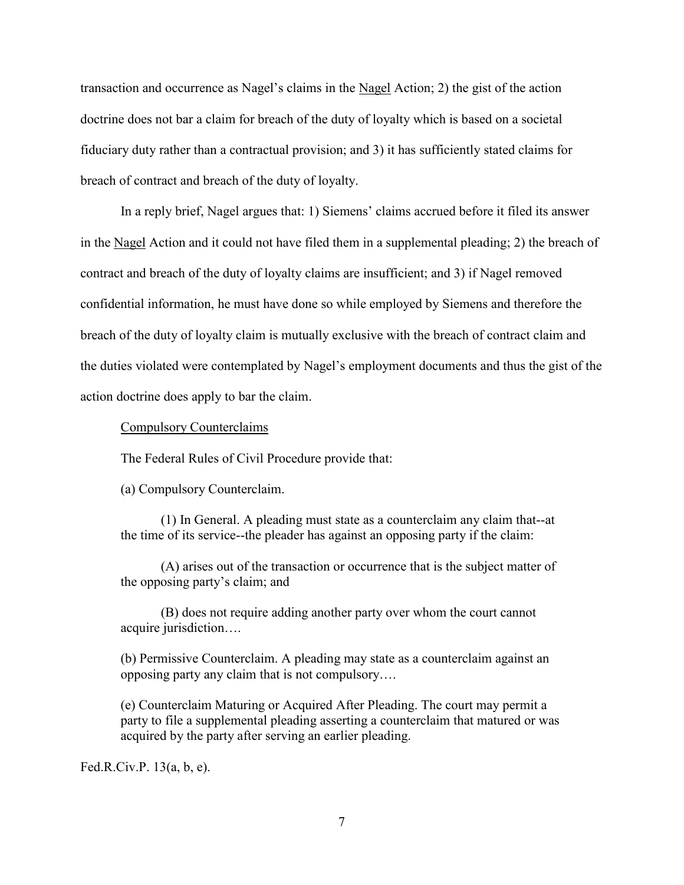transaction and occurrence as Nagel's claims in the Nagel Action; 2) the gist of the action doctrine does not bar a claim for breach of the duty of loyalty which is based on a societal fiduciary duty rather than a contractual provision; and 3) it has sufficiently stated claims for breach of contract and breach of the duty of loyalty.

In a reply brief, Nagel argues that: 1) Siemens' claims accrued before it filed its answer in the Nagel Action and it could not have filed them in a supplemental pleading; 2) the breach of contract and breach of the duty of loyalty claims are insufficient; and 3) if Nagel removed confidential information, he must have done so while employed by Siemens and therefore the breach of the duty of loyalty claim is mutually exclusive with the breach of contract claim and the duties violated were contemplated by Nagel's employment documents and thus the gist of the action doctrine does apply to bar the claim.

Compulsory Counterclaims

The Federal Rules of Civil Procedure provide that:

(a) Compulsory Counterclaim.

(1) In General. A pleading must state as a counterclaim any claim that--at the time of its service--the pleader has against an opposing party if the claim:

(A) arises out of the transaction or occurrence that is the subject matter of the opposing party's claim; and

(B) does not require adding another party over whom the court cannot acquire jurisdiction….

(b) Permissive Counterclaim. A pleading may state as a counterclaim against an opposing party any claim that is not compulsory….

(e) Counterclaim Maturing or Acquired After Pleading. The court may permit a party to file a supplemental pleading asserting a counterclaim that matured or was acquired by the party after serving an earlier pleading.

Fed.R.Civ.P. 13(a, b, e).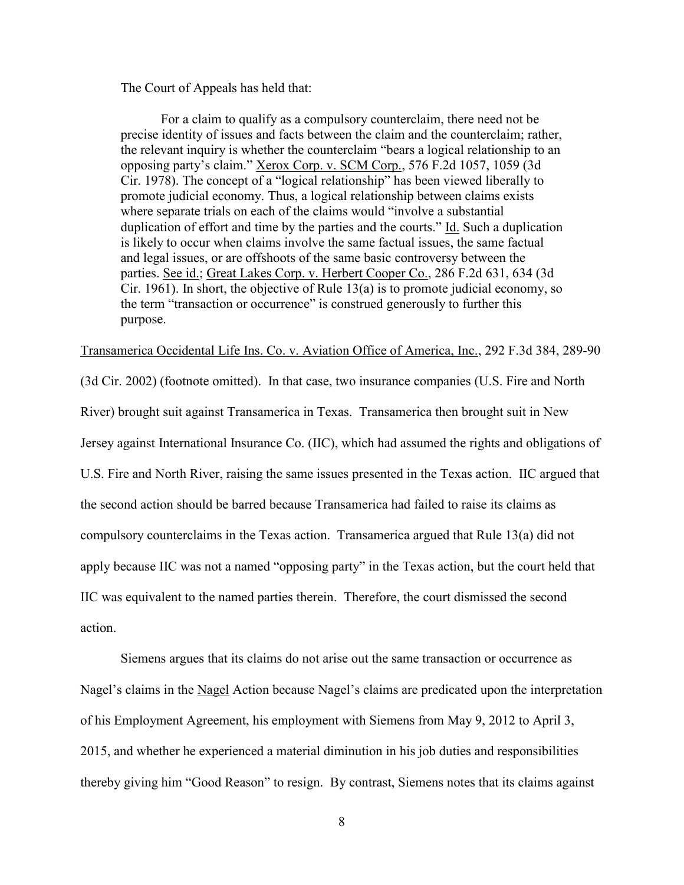The Court of Appeals has held that:

For a claim to qualify as a compulsory counterclaim, there need not be precise identity of issues and facts between the claim and the counterclaim; rather, the relevant inquiry is whether the counterclaim "bears a logical relationship to an opposing party's claim." Xerox Corp. v. SCM Corp., 576 F.2d 1057, 1059 (3d Cir. 1978). The concept of a "logical relationship" has been viewed liberally to promote judicial economy. Thus, a logical relationship between claims exists where separate trials on each of the claims would "involve a substantial duplication of effort and time by the parties and the courts." Id. Such a duplication is likely to occur when claims involve the same factual issues, the same factual and legal issues, or are offshoots of the same basic controversy between the parties. See id.; Great Lakes Corp. v. Herbert Cooper Co., 286 F.2d 631, 634 (3d Cir. 1961). In short, the objective of Rule 13(a) is to promote judicial economy, so the term "transaction or occurrence" is construed generously to further this purpose.

Transamerica Occidental Life Ins. Co. v. Aviation Office of America, Inc., 292 F.3d 384, 289-90

(3d Cir. 2002) (footnote omitted). In that case, two insurance companies (U.S. Fire and North River) brought suit against Transamerica in Texas. Transamerica then brought suit in New Jersey against International Insurance Co. (IIC), which had assumed the rights and obligations of U.S. Fire and North River, raising the same issues presented in the Texas action. IIC argued that the second action should be barred because Transamerica had failed to raise its claims as compulsory counterclaims in the Texas action. Transamerica argued that Rule 13(a) did not apply because IIC was not a named "opposing party" in the Texas action, but the court held that IIC was equivalent to the named parties therein. Therefore, the court dismissed the second action.

Siemens argues that its claims do not arise out the same transaction or occurrence as Nagel's claims in the Nagel Action because Nagel's claims are predicated upon the interpretation of his Employment Agreement, his employment with Siemens from May 9, 2012 to April 3, 2015, and whether he experienced a material diminution in his job duties and responsibilities thereby giving him "Good Reason" to resign. By contrast, Siemens notes that its claims against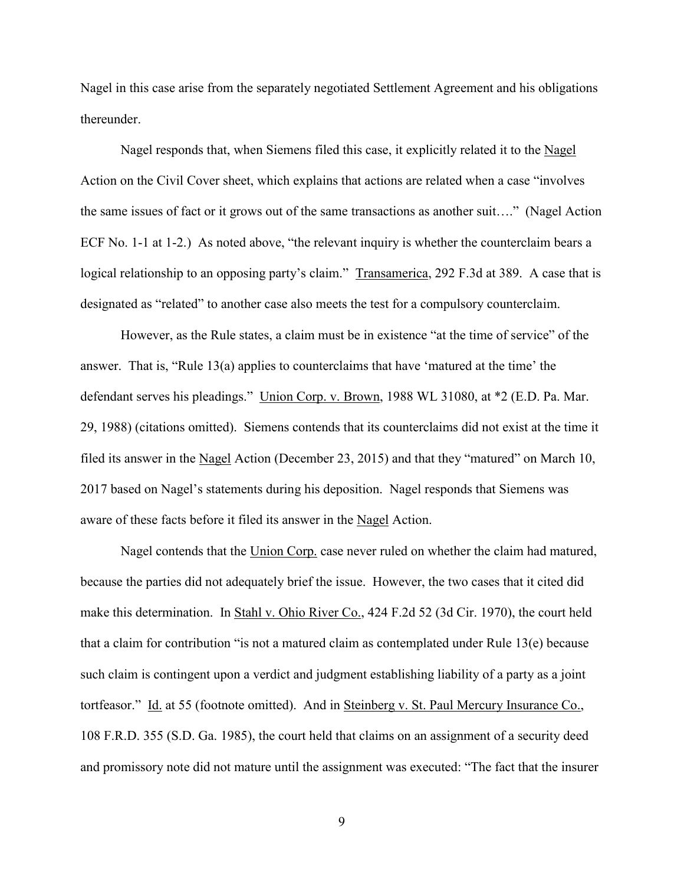Nagel in this case arise from the separately negotiated Settlement Agreement and his obligations thereunder.

Nagel responds that, when Siemens filed this case, it explicitly related it to the Nagel Action on the Civil Cover sheet, which explains that actions are related when a case "involves the same issues of fact or it grows out of the same transactions as another suit…." (Nagel Action ECF No. 1-1 at 1-2.) As noted above, "the relevant inquiry is whether the counterclaim bears a logical relationship to an opposing party's claim." Transamerica, 292 F.3d at 389. A case that is designated as "related" to another case also meets the test for a compulsory counterclaim.

However, as the Rule states, a claim must be in existence "at the time of service" of the answer. That is, "Rule 13(a) applies to counterclaims that have 'matured at the time' the defendant serves his pleadings." Union Corp. v. Brown, 1988 WL 31080, at \*2 (E.D. Pa. Mar. 29, 1988) (citations omitted). Siemens contends that its counterclaims did not exist at the time it filed its answer in the Nagel Action (December 23, 2015) and that they "matured" on March 10, 2017 based on Nagel's statements during his deposition. Nagel responds that Siemens was aware of these facts before it filed its answer in the Nagel Action.

Nagel contends that the Union Corp. case never ruled on whether the claim had matured, because the parties did not adequately brief the issue. However, the two cases that it cited did make this determination. In Stahl v. Ohio River Co., 424 F.2d 52 (3d Cir. 1970), the court held that a claim for contribution "is not a matured claim as contemplated under Rule 13(e) because such claim is contingent upon a verdict and judgment establishing liability of a party as a joint tortfeasor." Id. at 55 (footnote omitted). And in Steinberg v. St. Paul Mercury Insurance Co., 108 F.R.D. 355 (S.D. Ga. 1985), the court held that claims on an assignment of a security deed and promissory note did not mature until the assignment was executed: "The fact that the insurer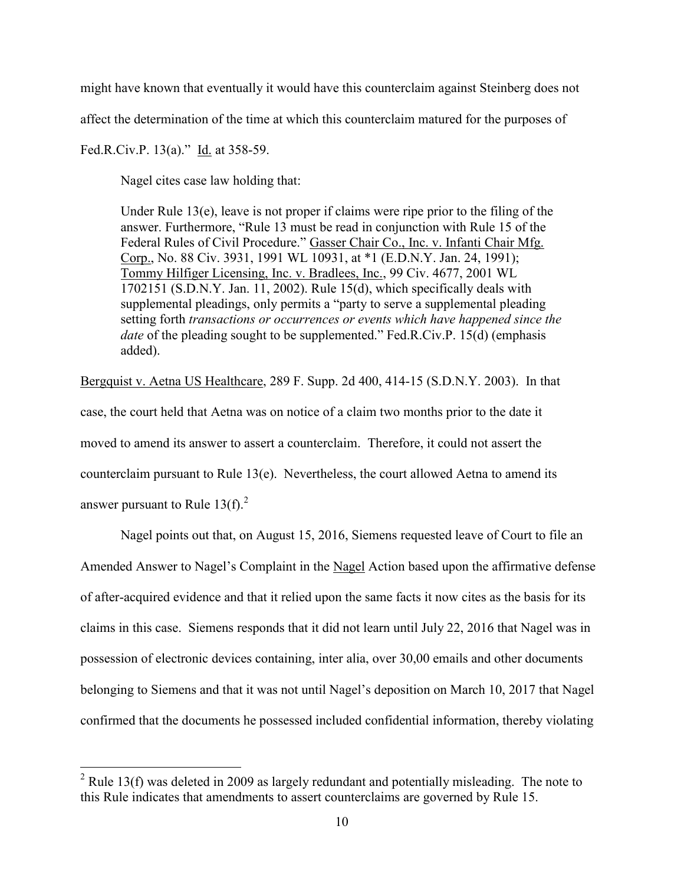might have known that eventually it would have this counterclaim against Steinberg does not

affect the determination of the time at which this counterclaim matured for the purposes of

# Fed.R.Civ.P. 13(a)." Id. at 358-59.

 $\overline{a}$ 

Nagel cites case law holding that:

Under Rule 13(e), leave is not proper if claims were ripe prior to the filing of the answer. Furthermore, "Rule 13 must be read in conjunction with Rule 15 of the Federal Rules of Civil Procedure." Gasser Chair Co., Inc. v. Infanti Chair Mfg. Corp., No. 88 Civ. 3931, 1991 WL 10931, at \*1 (E.D.N.Y. Jan. 24, 1991); Tommy Hilfiger Licensing, Inc. v. Bradlees, Inc., 99 Civ. 4677, 2001 WL 1702151 (S.D.N.Y. Jan. 11, 2002). Rule 15(d), which specifically deals with supplemental pleadings, only permits a "party to serve a supplemental pleading setting forth *transactions or occurrences or events which have happened since the date* of the pleading sought to be supplemented." Fed.R.Civ.P. 15(d) (emphasis added).

Bergquist v. Aetna US Healthcare, 289 F. Supp. 2d 400, 414-15 (S.D.N.Y. 2003). In that case, the court held that Aetna was on notice of a claim two months prior to the date it moved to amend its answer to assert a counterclaim. Therefore, it could not assert the counterclaim pursuant to Rule 13(e). Nevertheless, the court allowed Aetna to amend its answer pursuant to Rule  $13(f)$ .<sup>2</sup>

Nagel points out that, on August 15, 2016, Siemens requested leave of Court to file an Amended Answer to Nagel's Complaint in the Nagel Action based upon the affirmative defense of after-acquired evidence and that it relied upon the same facts it now cites as the basis for its claims in this case. Siemens responds that it did not learn until July 22, 2016 that Nagel was in possession of electronic devices containing, inter alia, over 30,00 emails and other documents belonging to Siemens and that it was not until Nagel's deposition on March 10, 2017 that Nagel confirmed that the documents he possessed included confidential information, thereby violating

 $^{2}$  Rule 13(f) was deleted in 2009 as largely redundant and potentially misleading. The note to this Rule indicates that amendments to assert counterclaims are governed by Rule 15.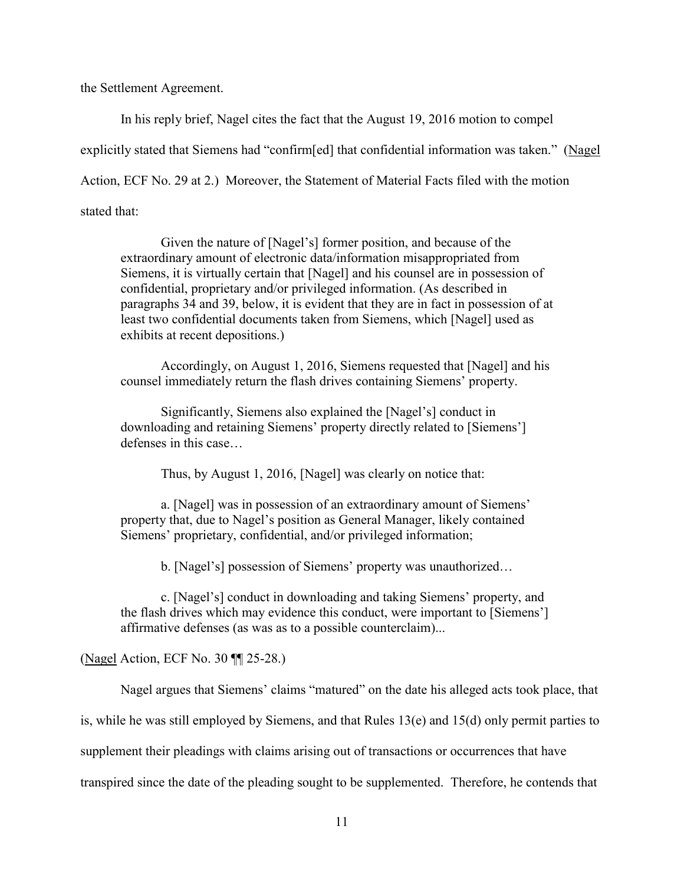the Settlement Agreement.

In his reply brief, Nagel cites the fact that the August 19, 2016 motion to compel

explicitly stated that Siemens had "confirm[ed] that confidential information was taken." (Nagel

Action, ECF No. 29 at 2.) Moreover, the Statement of Material Facts filed with the motion

stated that:

Given the nature of [Nagel's] former position, and because of the extraordinary amount of electronic data/information misappropriated from Siemens, it is virtually certain that [Nagel] and his counsel are in possession of confidential, proprietary and/or privileged information. (As described in paragraphs 34 and 39, below, it is evident that they are in fact in possession of at least two confidential documents taken from Siemens, which [Nagel] used as exhibits at recent depositions.)

Accordingly, on August 1, 2016, Siemens requested that [Nagel] and his counsel immediately return the flash drives containing Siemens' property.

Significantly, Siemens also explained the [Nagel's] conduct in downloading and retaining Siemens' property directly related to [Siemens'] defenses in this case…

Thus, by August 1, 2016, [Nagel] was clearly on notice that:

a. [Nagel] was in possession of an extraordinary amount of Siemens' property that, due to Nagel's position as General Manager, likely contained Siemens' proprietary, confidential, and/or privileged information;

b. [Nagel's] possession of Siemens' property was unauthorized…

c. [Nagel's] conduct in downloading and taking Siemens' property, and the flash drives which may evidence this conduct, were important to [Siemens'] affirmative defenses (as was as to a possible counterclaim)...

(Nagel Action, ECF No. 30 ¶¶ 25-28.)

Nagel argues that Siemens' claims "matured" on the date his alleged acts took place, that

is, while he was still employed by Siemens, and that Rules  $13(e)$  and  $15(d)$  only permit parties to

supplement their pleadings with claims arising out of transactions or occurrences that have

transpired since the date of the pleading sought to be supplemented. Therefore, he contends that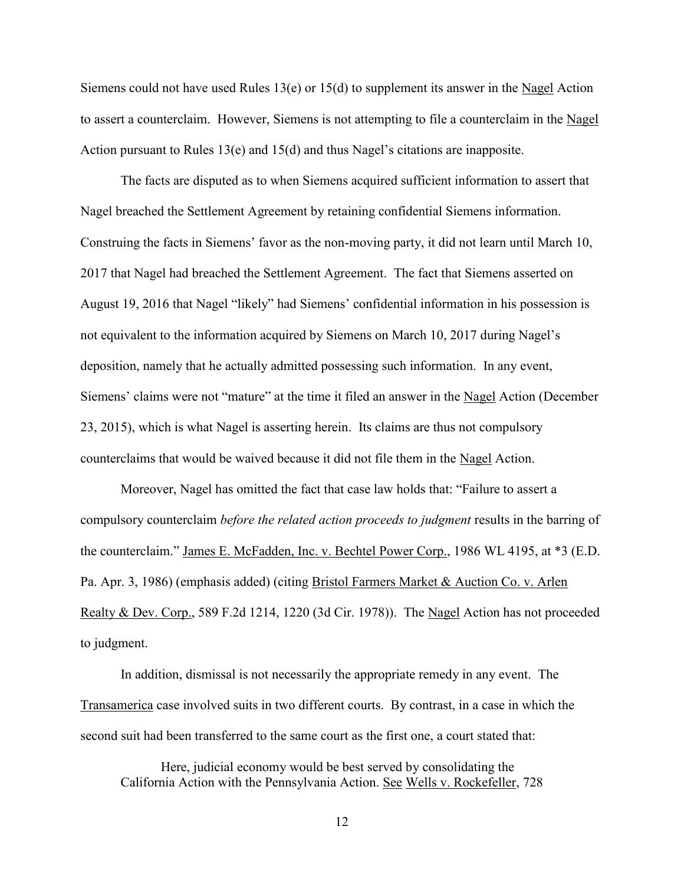Siemens could not have used Rules 13(e) or 15(d) to supplement its answer in the Nagel Action to assert a counterclaim. However, Siemens is not attempting to file a counterclaim in the Nagel Action pursuant to Rules 13(e) and 15(d) and thus Nagel's citations are inapposite.

The facts are disputed as to when Siemens acquired sufficient information to assert that Nagel breached the Settlement Agreement by retaining confidential Siemens information. Construing the facts in Siemens' favor as the non-moving party, it did not learn until March 10, 2017 that Nagel had breached the Settlement Agreement. The fact that Siemens asserted on August 19, 2016 that Nagel "likely" had Siemens' confidential information in his possession is not equivalent to the information acquired by Siemens on March 10, 2017 during Nagel's deposition, namely that he actually admitted possessing such information. In any event, Siemens' claims were not "mature" at the time it filed an answer in the Nagel Action (December 23, 2015), which is what Nagel is asserting herein. Its claims are thus not compulsory counterclaims that would be waived because it did not file them in the Nagel Action.

Moreover, Nagel has omitted the fact that case law holds that: "Failure to assert a compulsory counterclaim *before the related action proceeds to judgment* results in the barring of the counterclaim." James E. McFadden, Inc. v. Bechtel Power Corp., 1986 WL 4195, at \*3 (E.D. Pa. Apr. 3, 1986) (emphasis added) (citing Bristol Farmers Market & Auction Co. v. Arlen Realty & Dev. Corp., 589 F.2d 1214, 1220 (3d Cir. 1978)). The Nagel Action has not proceeded to judgment.

In addition, dismissal is not necessarily the appropriate remedy in any event. The Transamerica case involved suits in two different courts. By contrast, in a case in which the second suit had been transferred to the same court as the first one, a court stated that:

Here, judicial economy would be best served by consolidating the California Action with the Pennsylvania Action. See Wells v. Rockefeller, 728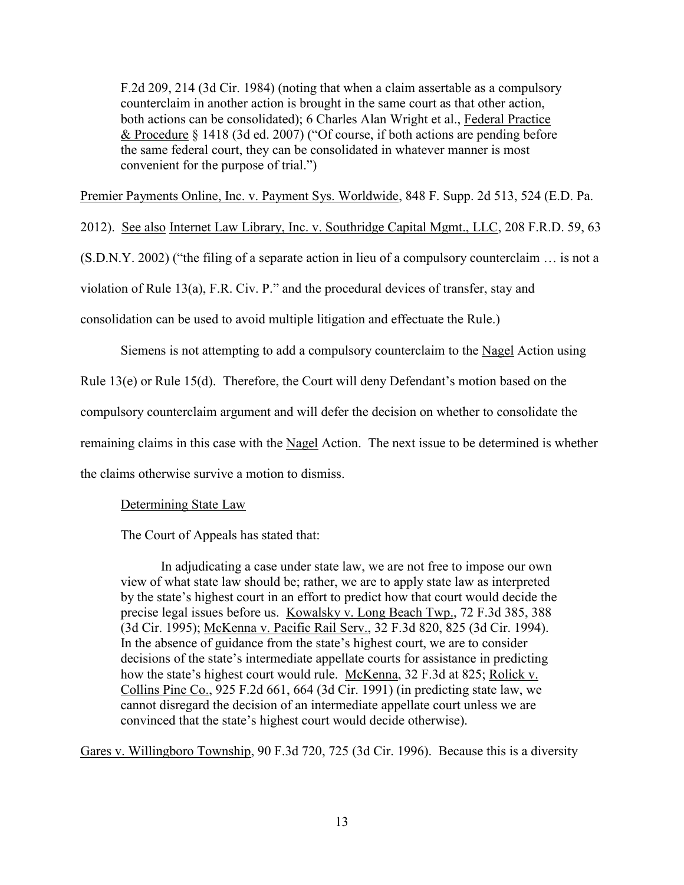F.2d 209, 214 (3d Cir. 1984) (noting that when a claim assertable as a compulsory counterclaim in another action is brought in the same court as that other action, both actions can be consolidated); 6 Charles Alan Wright et al., Federal Practice & Procedure § 1418 (3d ed. 2007) ("Of course, if both actions are pending before the same federal court, they can be consolidated in whatever manner is most convenient for the purpose of trial.")

Premier Payments Online, Inc. v. Payment Sys. Worldwide, 848 F. Supp. 2d 513, 524 (E.D. Pa.

2012). See also Internet Law Library, Inc. v. Southridge Capital Mgmt., LLC, 208 F.R.D. 59, 63

(S.D.N.Y. 2002) ("the filing of a separate action in lieu of a compulsory counterclaim … is not a

violation of Rule 13(a), F.R. Civ. P." and the procedural devices of transfer, stay and

consolidation can be used to avoid multiple litigation and effectuate the Rule.)

Siemens is not attempting to add a compulsory counterclaim to the Nagel Action using

Rule 13(e) or Rule 15(d). Therefore, the Court will deny Defendant's motion based on the

compulsory counterclaim argument and will defer the decision on whether to consolidate the

remaining claims in this case with the Nagel Action. The next issue to be determined is whether

the claims otherwise survive a motion to dismiss.

Determining State Law

The Court of Appeals has stated that:

In adjudicating a case under state law, we are not free to impose our own view of what state law should be; rather, we are to apply state law as interpreted by the state's highest court in an effort to predict how that court would decide the precise legal issues before us. Kowalsky v. Long Beach Twp., 72 F.3d 385, 388 (3d Cir. 1995); McKenna v. Pacific Rail Serv., 32 F.3d 820, 825 (3d Cir. 1994). In the absence of guidance from the state's highest court, we are to consider decisions of the state's intermediate appellate courts for assistance in predicting how the state's highest court would rule. McKenna, 32 F.3d at 825; Rolick v. Collins Pine Co., 925 F.2d 661, 664 (3d Cir. 1991) (in predicting state law, we cannot disregard the decision of an intermediate appellate court unless we are convinced that the state's highest court would decide otherwise).

Gares v. Willingboro Township, 90 F.3d 720, 725 (3d Cir. 1996). Because this is a diversity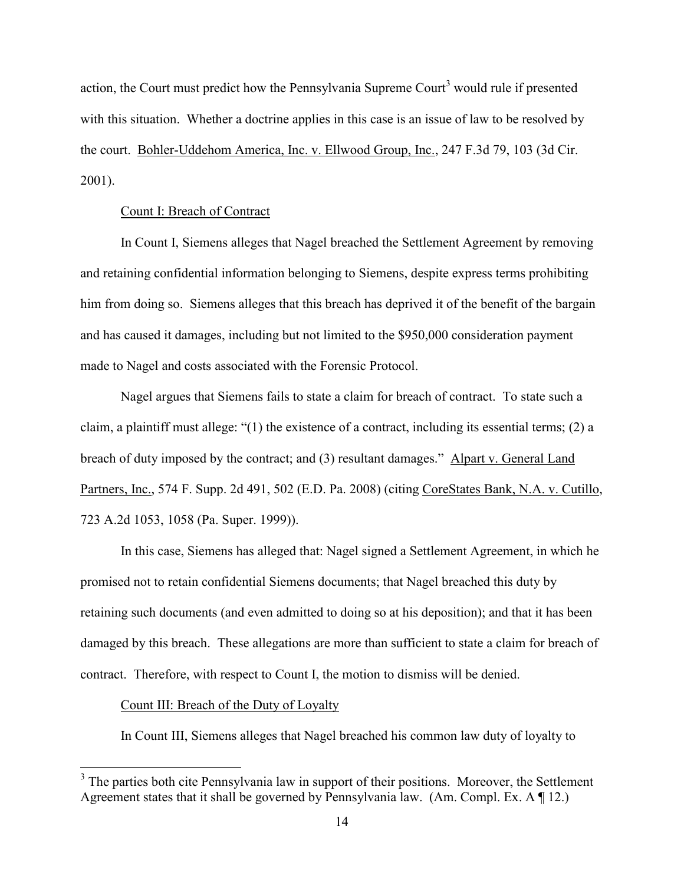action, the Court must predict how the Pennsylvania Supreme Court<sup>3</sup> would rule if presented with this situation. Whether a doctrine applies in this case is an issue of law to be resolved by the court. Bohler-Uddehom America, Inc. v. Ellwood Group, Inc., 247 F.3d 79, 103 (3d Cir. 2001).

### Count I: Breach of Contract

In Count I, Siemens alleges that Nagel breached the Settlement Agreement by removing and retaining confidential information belonging to Siemens, despite express terms prohibiting him from doing so. Siemens alleges that this breach has deprived it of the benefit of the bargain and has caused it damages, including but not limited to the \$950,000 consideration payment made to Nagel and costs associated with the Forensic Protocol.

Nagel argues that Siemens fails to state a claim for breach of contract. To state such a claim, a plaintiff must allege: "(1) the existence of a contract, including its essential terms; (2) a breach of duty imposed by the contract; and (3) resultant damages." Alpart v. General Land Partners, Inc., 574 F. Supp. 2d 491, 502 (E.D. Pa. 2008) (citing CoreStates Bank, N.A. v. Cutillo, 723 A.2d 1053, 1058 (Pa. Super. 1999)).

In this case, Siemens has alleged that: Nagel signed a Settlement Agreement, in which he promised not to retain confidential Siemens documents; that Nagel breached this duty by retaining such documents (and even admitted to doing so at his deposition); and that it has been damaged by this breach. These allegations are more than sufficient to state a claim for breach of contract. Therefore, with respect to Count I, the motion to dismiss will be denied.

#### Count III: Breach of the Duty of Loyalty

 $\overline{a}$ 

In Count III, Siemens alleges that Nagel breached his common law duty of loyalty to

 $3$  The parties both cite Pennsylvania law in support of their positions. Moreover, the Settlement Agreement states that it shall be governed by Pennsylvania law. (Am. Compl. Ex. A ¶ 12.)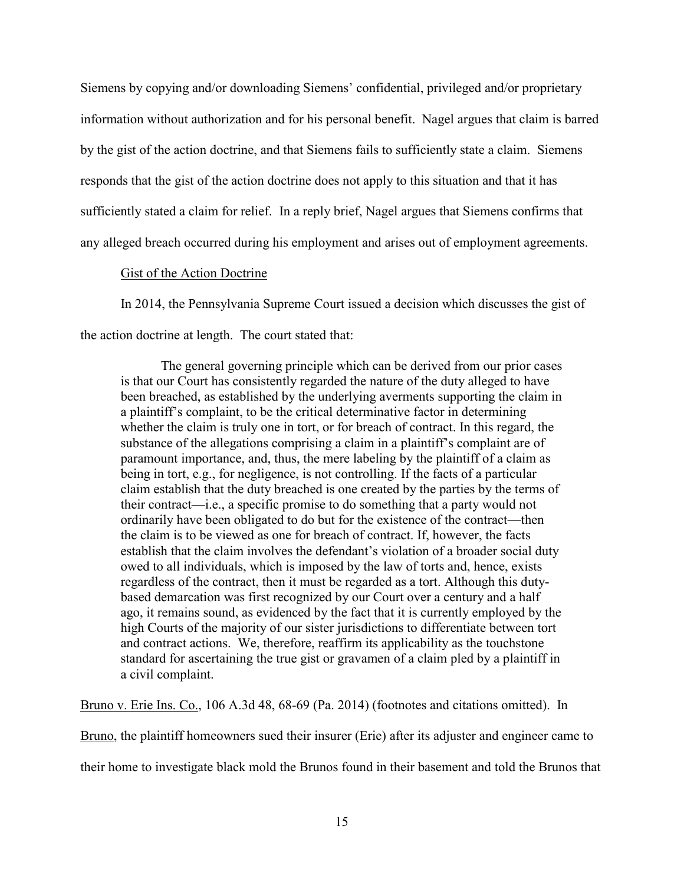Siemens by copying and/or downloading Siemens' confidential, privileged and/or proprietary information without authorization and for his personal benefit. Nagel argues that claim is barred by the gist of the action doctrine, and that Siemens fails to sufficiently state a claim. Siemens responds that the gist of the action doctrine does not apply to this situation and that it has sufficiently stated a claim for relief. In a reply brief, Nagel argues that Siemens confirms that any alleged breach occurred during his employment and arises out of employment agreements.

### Gist of the Action Doctrine

In 2014, the Pennsylvania Supreme Court issued a decision which discusses the gist of the action doctrine at length. The court stated that:

The general governing principle which can be derived from our prior cases is that our Court has consistently regarded the nature of the duty alleged to have been breached, as established by the underlying averments supporting the claim in a plaintiff's complaint, to be the critical determinative factor in determining whether the claim is truly one in tort, or for breach of contract. In this regard, the substance of the allegations comprising a claim in a plaintiff's complaint are of paramount importance, and, thus, the mere labeling by the plaintiff of a claim as being in tort, e.g., for negligence, is not controlling. If the facts of a particular claim establish that the duty breached is one created by the parties by the terms of their contract—i.e., a specific promise to do something that a party would not ordinarily have been obligated to do but for the existence of the contract—then the claim is to be viewed as one for breach of contract. If, however, the facts establish that the claim involves the defendant's violation of a broader social duty owed to all individuals, which is imposed by the law of torts and, hence, exists regardless of the contract, then it must be regarded as a tort. Although this dutybased demarcation was first recognized by our Court over a century and a half ago, it remains sound, as evidenced by the fact that it is currently employed by the high Courts of the majority of our sister jurisdictions to differentiate between tort and contract actions. We, therefore, reaffirm its applicability as the touchstone standard for ascertaining the true gist or gravamen of a claim pled by a plaintiff in a civil complaint.

Bruno v. Erie Ins. Co., 106 A.3d 48, 68-69 (Pa. 2014) (footnotes and citations omitted). In

Bruno, the plaintiff homeowners sued their insurer (Erie) after its adjuster and engineer came to

their home to investigate black mold the Brunos found in their basement and told the Brunos that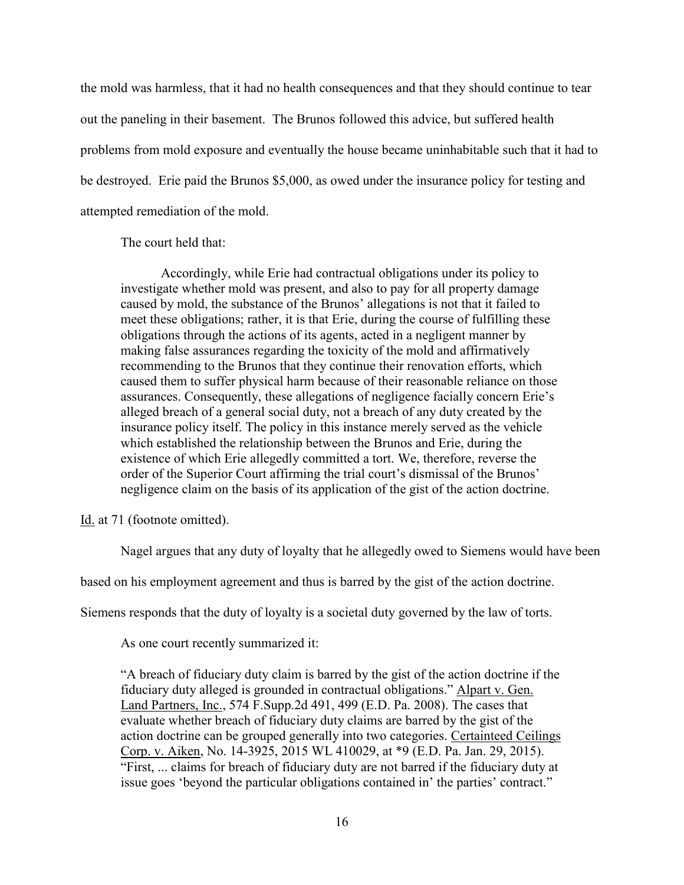the mold was harmless, that it had no health consequences and that they should continue to tear out the paneling in their basement. The Brunos followed this advice, but suffered health problems from mold exposure and eventually the house became uninhabitable such that it had to be destroyed. Erie paid the Brunos \$5,000, as owed under the insurance policy for testing and attempted remediation of the mold.

The court held that:

Accordingly, while Erie had contractual obligations under its policy to investigate whether mold was present, and also to pay for all property damage caused by mold, the substance of the Brunos' allegations is not that it failed to meet these obligations; rather, it is that Erie, during the course of fulfilling these obligations through the actions of its agents, acted in a negligent manner by making false assurances regarding the toxicity of the mold and affirmatively recommending to the Brunos that they continue their renovation efforts, which caused them to suffer physical harm because of their reasonable reliance on those assurances. Consequently, these allegations of negligence facially concern Erie's alleged breach of a general social duty, not a breach of any duty created by the insurance policy itself. The policy in this instance merely served as the vehicle which established the relationship between the Brunos and Erie, during the existence of which Erie allegedly committed a tort. We, therefore, reverse the order of the Superior Court affirming the trial court's dismissal of the Brunos' negligence claim on the basis of its application of the gist of the action doctrine.

Id. at 71 (footnote omitted).

Nagel argues that any duty of loyalty that he allegedly owed to Siemens would have been

based on his employment agreement and thus is barred by the gist of the action doctrine.

Siemens responds that the duty of loyalty is a societal duty governed by the law of torts.

As one court recently summarized it:

"A breach of fiduciary duty claim is barred by the gist of the action doctrine if the fiduciary duty alleged is grounded in contractual obligations." Alpart v. Gen. Land Partners, Inc., 574 F.Supp.2d 491, 499 (E.D. Pa. 2008). The cases that evaluate whether breach of fiduciary duty claims are barred by the gist of the action doctrine can be grouped generally into two categories. Certainteed Ceilings Corp. v. Aiken, No. 14-3925, 2015 WL 410029, at \*9 (E.D. Pa. Jan. 29, 2015). "First, ... claims for breach of fiduciary duty are not barred if the fiduciary duty at issue goes 'beyond the particular obligations contained in' the parties' contract."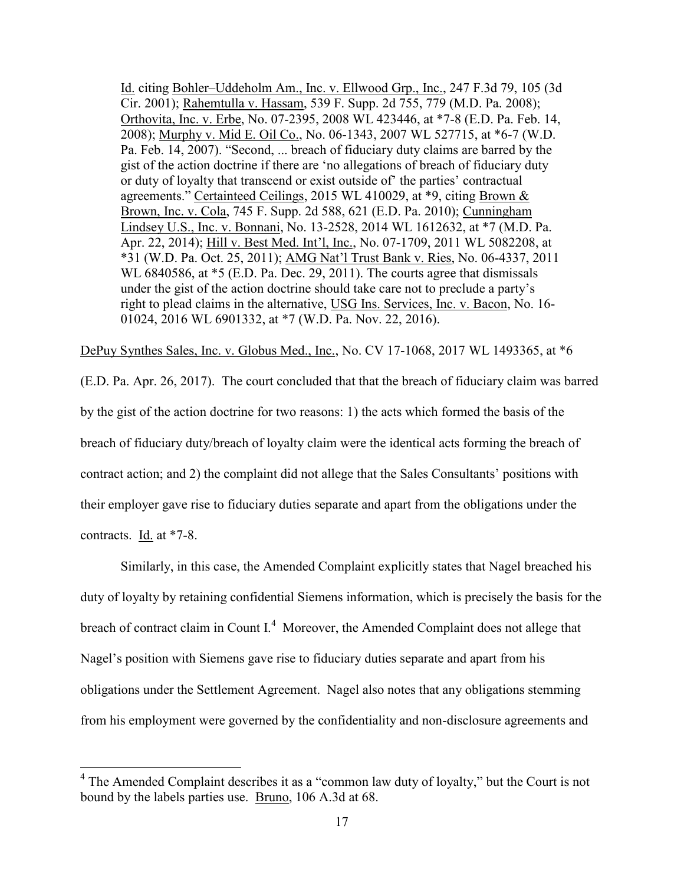Id. citing Bohler–Uddeholm Am., Inc. v. Ellwood Grp., Inc., 247 F.3d 79, 105 (3d Cir. 2001); Rahemtulla v. Hassam, 539 F. Supp. 2d 755, 779 (M.D. Pa. 2008); Orthovita, Inc. v. Erbe, No. 07-2395, 2008 WL 423446, at \*7-8 (E.D. Pa. Feb. 14, 2008); Murphy v. Mid E. Oil Co., No. 06-1343, 2007 WL 527715, at \*6-7 (W.D. Pa. Feb. 14, 2007). "Second, ... breach of fiduciary duty claims are barred by the gist of the action doctrine if there are 'no allegations of breach of fiduciary duty or duty of loyalty that transcend or exist outside of' the parties' contractual agreements." Certainteed Ceilings, 2015 WL 410029, at \*9, citing Brown & Brown, Inc. v. Cola, 745 F. Supp. 2d 588, 621 (E.D. Pa. 2010); Cunningham Lindsey U.S., Inc. v. Bonnani, No. 13-2528, 2014 WL 1612632, at \*7 (M.D. Pa. Apr. 22, 2014); Hill v. Best Med. Int'l, Inc., No. 07-1709, 2011 WL 5082208, at \*31 (W.D. Pa. Oct. 25, 2011); AMG Nat'l Trust Bank v. Ries, No. 06-4337, 2011 WL 6840586, at  $*$ 5 (E.D. Pa. Dec. 29, 2011). The courts agree that dismissals under the gist of the action doctrine should take care not to preclude a party's right to plead claims in the alternative, USG Ins. Services, Inc. v. Bacon, No. 16- 01024, 2016 WL 6901332, at \*7 (W.D. Pa. Nov. 22, 2016).

DePuy Synthes Sales, Inc. v. Globus Med., Inc., No. CV 17-1068, 2017 WL 1493365, at \*6

(E.D. Pa. Apr. 26, 2017). The court concluded that that the breach of fiduciary claim was barred by the gist of the action doctrine for two reasons: 1) the acts which formed the basis of the breach of fiduciary duty/breach of loyalty claim were the identical acts forming the breach of contract action; and 2) the complaint did not allege that the Sales Consultants' positions with their employer gave rise to fiduciary duties separate and apart from the obligations under the contracts. Id. at \*7-8.

Similarly, in this case, the Amended Complaint explicitly states that Nagel breached his duty of loyalty by retaining confidential Siemens information, which is precisely the basis for the breach of contract claim in Count  $I<sup>4</sup>$  Moreover, the Amended Complaint does not allege that Nagel's position with Siemens gave rise to fiduciary duties separate and apart from his obligations under the Settlement Agreement. Nagel also notes that any obligations stemming from his employment were governed by the confidentiality and non-disclosure agreements and

 $\overline{a}$ 

<sup>&</sup>lt;sup>4</sup> The Amended Complaint describes it as a "common law duty of loyalty," but the Court is not bound by the labels parties use. Bruno, 106 A.3d at 68.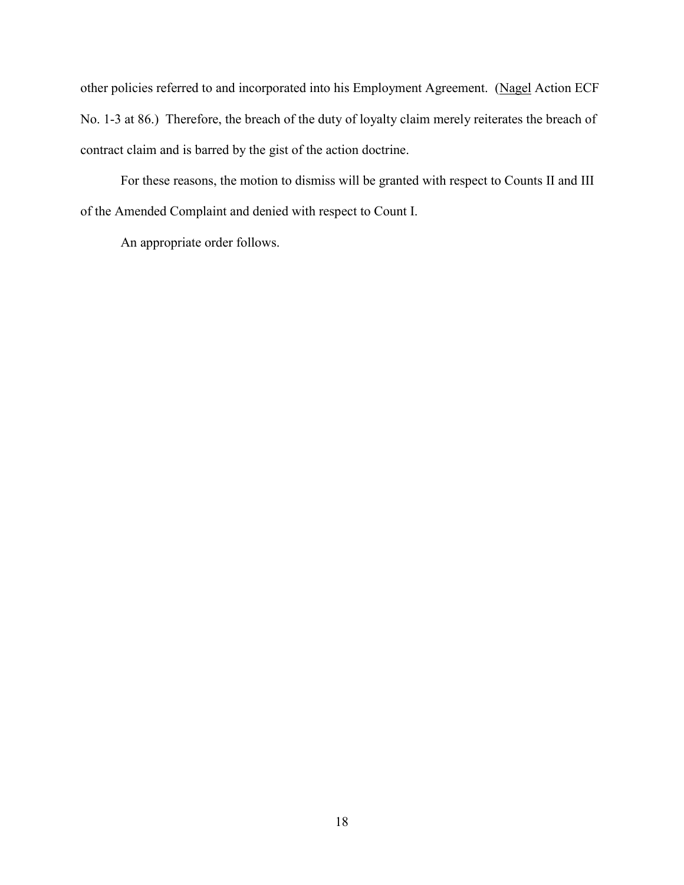other policies referred to and incorporated into his Employment Agreement. (Nagel Action ECF No. 1-3 at 86.) Therefore, the breach of the duty of loyalty claim merely reiterates the breach of contract claim and is barred by the gist of the action doctrine.

For these reasons, the motion to dismiss will be granted with respect to Counts II and III of the Amended Complaint and denied with respect to Count I.

An appropriate order follows.